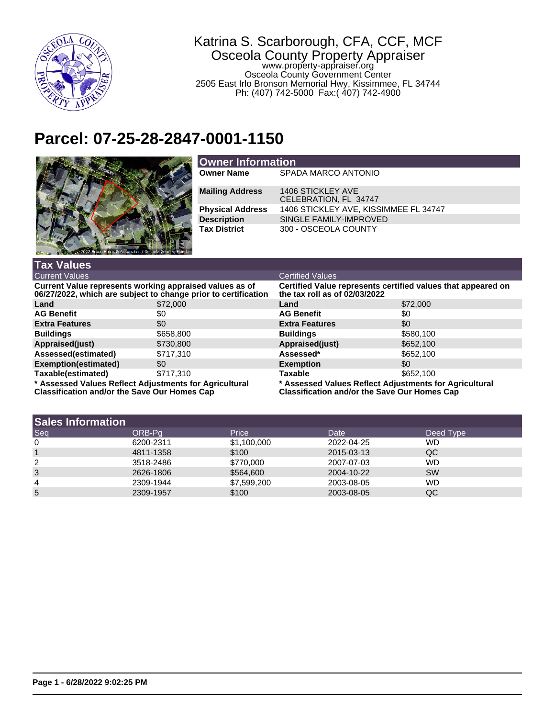

## Katrina S. Scarborough, CFA, CCF, MCF Osceola County Property Appraiser www.property-appraiser.org

Osceola County Government Center 2505 East Irlo Bronson Memorial Hwy, Kissimmee, FL 34744 Ph: (407) 742-5000 Fax:( 407) 742-4900

## **Parcel: 07-25-28-2847-0001-1150**



| <b>Owner Information</b> |                                            |  |  |
|--------------------------|--------------------------------------------|--|--|
| <b>Owner Name</b>        | SPADA MARCO ANTONIO                        |  |  |
| <b>Mailing Address</b>   | 1406 STICKLEY AVE<br>CELEBRATION, FL 34747 |  |  |
| <b>Physical Address</b>  | 1406 STICKLEY AVE, KISSIMMEE FL 34747      |  |  |
| <b>Description</b>       | SINGLE FAMILY-IMPROVED                     |  |  |
| <b>Tax District</b>      | 300 - OSCEOLA COUNTY                       |  |  |

| <b>Tax Values</b>                                                                                                         |           |                                                                                                               |           |  |
|---------------------------------------------------------------------------------------------------------------------------|-----------|---------------------------------------------------------------------------------------------------------------|-----------|--|
| <b>Current Values</b>                                                                                                     |           | <b>Certified Values</b>                                                                                       |           |  |
| Current Value represents working appraised values as of<br>06/27/2022, which are subject to change prior to certification |           | Certified Value represents certified values that appeared on<br>the tax roll as of 02/03/2022                 |           |  |
| Land                                                                                                                      | \$72,000  | Land                                                                                                          | \$72,000  |  |
| <b>AG Benefit</b>                                                                                                         | \$0       | <b>AG Benefit</b>                                                                                             | \$0       |  |
| <b>Extra Features</b>                                                                                                     | \$0       | <b>Extra Features</b>                                                                                         | \$0       |  |
| <b>Buildings</b>                                                                                                          | \$658,800 | <b>Buildings</b>                                                                                              | \$580,100 |  |
| Appraised(just)                                                                                                           | \$730,800 | Appraised(just)                                                                                               | \$652,100 |  |
| Assessed(estimated)                                                                                                       | \$717.310 | Assessed*                                                                                                     | \$652,100 |  |
| Exemption(estimated)                                                                                                      | \$0       | <b>Exemption</b>                                                                                              | \$0       |  |
| Taxable(estimated)                                                                                                        | \$717.310 | <b>Taxable</b>                                                                                                | \$652,100 |  |
| * Assessed Values Reflect Adjustments for Agricultural<br><b>Classification and/or the Save Our Homes Cap</b>             |           | * Assessed Values Reflect Adjustments for Agricultural<br><b>Classification and/or the Save Our Homes Cap</b> |           |  |

| <b>Sales Information</b> |           |              |            |           |
|--------------------------|-----------|--------------|------------|-----------|
| Seq                      | ORB-Pa    | <b>Price</b> | Date       | Deed Type |
| $\mathbf 0$              | 6200-2311 | \$1,100,000  | 2022-04-25 | WD        |
|                          | 4811-1358 | \$100        | 2015-03-13 | QC        |
| 2                        | 3518-2486 | \$770,000    | 2007-07-03 | <b>WD</b> |
| 3                        | 2626-1806 | \$564,600    | 2004-10-22 | <b>SW</b> |
| 4                        | 2309-1944 | \$7,599,200  | 2003-08-05 | <b>WD</b> |
| 5                        | 2309-1957 | \$100        | 2003-08-05 | QC        |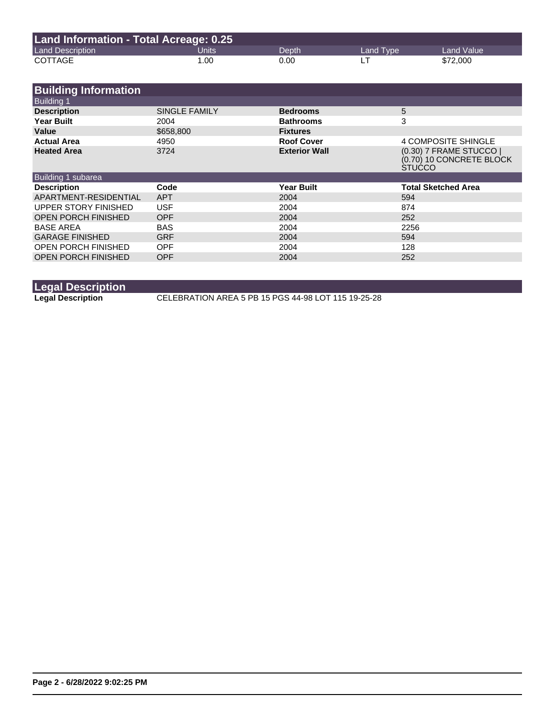| Land Information - Total Acreage: 0.25 |       |       |           |            |
|----------------------------------------|-------|-------|-----------|------------|
| <b>Land Description</b>                | Units | Depth | Land Type | Land Value |
| <b>COTTAGE</b>                         | 1.00  | 0.00  |           | \$72,000   |

| <b>Building Information</b> |                      |                      |                                                                      |
|-----------------------------|----------------------|----------------------|----------------------------------------------------------------------|
| <b>Building 1</b>           |                      |                      |                                                                      |
| <b>Description</b>          | <b>SINGLE FAMILY</b> | <b>Bedrooms</b>      | 5                                                                    |
| <b>Year Built</b>           | 2004                 | <b>Bathrooms</b>     | 3                                                                    |
| Value                       | \$658,800            | <b>Fixtures</b>      |                                                                      |
| <b>Actual Area</b>          | 4950                 | <b>Roof Cover</b>    | 4 COMPOSITE SHINGLE                                                  |
| <b>Heated Area</b>          | 3724                 | <b>Exterior Wall</b> | (0.30) 7 FRAME STUCCO  <br>(0.70) 10 CONCRETE BLOCK<br><b>STUCCO</b> |
| Building 1 subarea          |                      |                      |                                                                      |
| <b>Description</b>          | Code                 | <b>Year Built</b>    | <b>Total Sketched Area</b>                                           |
| APARTMENT-RESIDENTIAL       | <b>APT</b>           | 2004                 | 594                                                                  |
| UPPER STORY FINISHED        | <b>USF</b>           | 2004                 | 874                                                                  |
| <b>OPEN PORCH FINISHED</b>  | <b>OPF</b>           | 2004                 | 252                                                                  |
| <b>BASE AREA</b>            | <b>BAS</b>           | 2004                 | 2256                                                                 |
| <b>GARAGE FINISHED</b>      | <b>GRF</b>           | 2004                 | 594                                                                  |
| <b>OPEN PORCH FINISHED</b>  | <b>OPF</b>           | 2004                 | 128                                                                  |
| <b>OPEN PORCH FINISHED</b>  | <b>OPF</b>           | 2004                 | 252                                                                  |

**Legal Description**

**Legal Description** CELEBRATION AREA 5 PB 15 PGS 44-98 LOT 115 19-25-28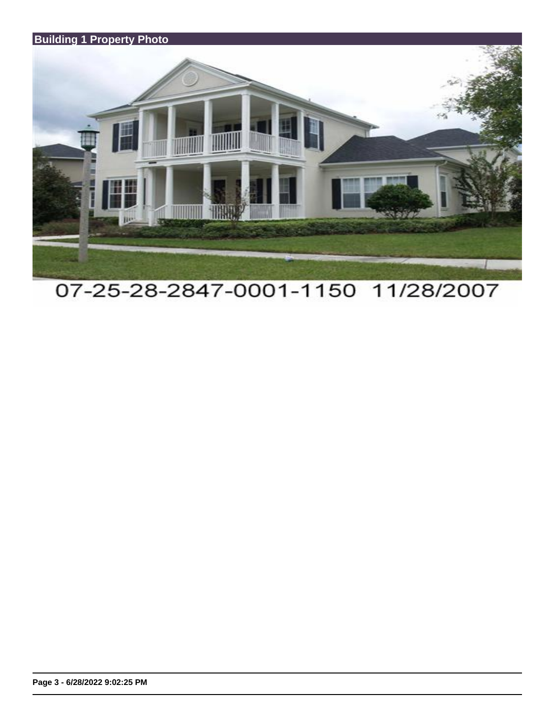

07-25-28-2847-0001-1150 11/28/2007